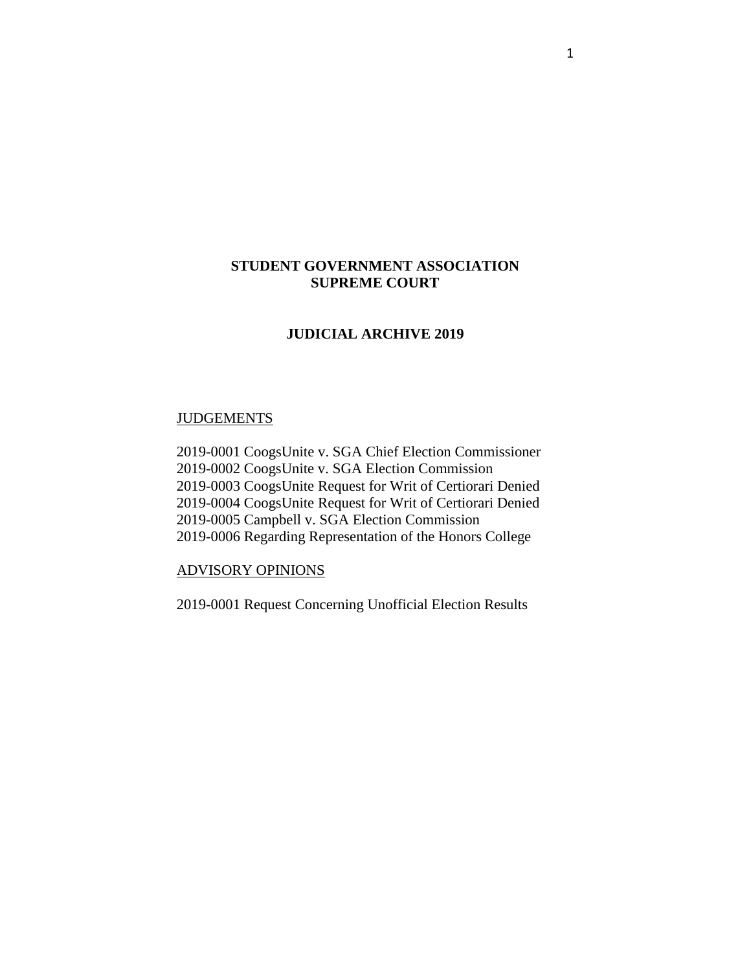# **STUDENT GOVERNMENT ASSOCIATION SUPREME COURT**

# **JUDICIAL ARCHIVE 2019**

## **JUDGEMENTS**

2019-0001 CoogsUnite v. SGA Chief Election Commissioner 2019-0002 CoogsUnite v. SGA Election Commission 2019-0003 CoogsUnite Request for Writ of Certiorari Denied 2019-0004 CoogsUnite Request for Writ of Certiorari Denied 2019-0005 Campbell v. SGA Election Commission 2019-0006 Regarding Representation of the Honors College

## ADVISORY OPINIONS

2019-0001 Request Concerning Unofficial Election Results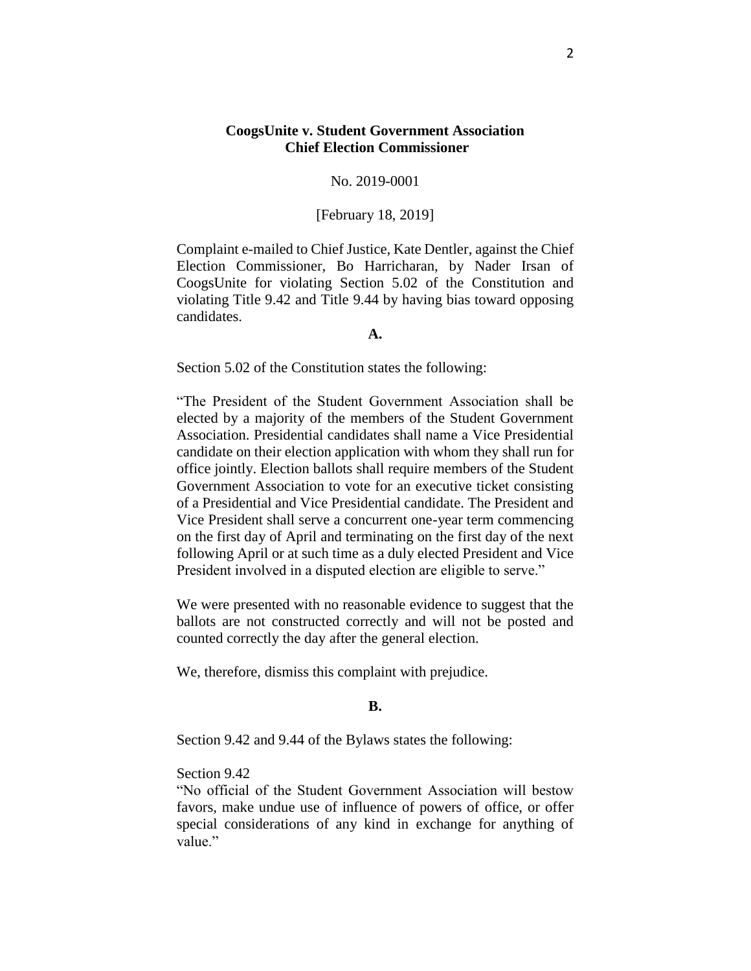## **CoogsUnite v. Student Government Association Chief Election Commissioner**

## No. 2019-0001

## [February 18, 2019]

Complaint e-mailed to Chief Justice, Kate Dentler, against the Chief Election Commissioner, Bo Harricharan, by Nader Irsan of CoogsUnite for violating Section 5.02 of the Constitution and violating Title 9.42 and Title 9.44 by having bias toward opposing candidates.

#### **A.**

Section 5.02 of the Constitution states the following:

"The President of the Student Government Association shall be elected by a majority of the members of the Student Government Association. Presidential candidates shall name a Vice Presidential candidate on their election application with whom they shall run for office jointly. Election ballots shall require members of the Student Government Association to vote for an executive ticket consisting of a Presidential and Vice Presidential candidate. The President and Vice President shall serve a concurrent one-year term commencing on the first day of April and terminating on the first day of the next following April or at such time as a duly elected President and Vice President involved in a disputed election are eligible to serve."

We were presented with no reasonable evidence to suggest that the ballots are not constructed correctly and will not be posted and counted correctly the day after the general election.

We, therefore, dismiss this complaint with prejudice.

#### **B.**

Section 9.42 and 9.44 of the Bylaws states the following:

#### Section 9.42

"No official of the Student Government Association will bestow favors, make undue use of influence of powers of office, or offer special considerations of any kind in exchange for anything of value."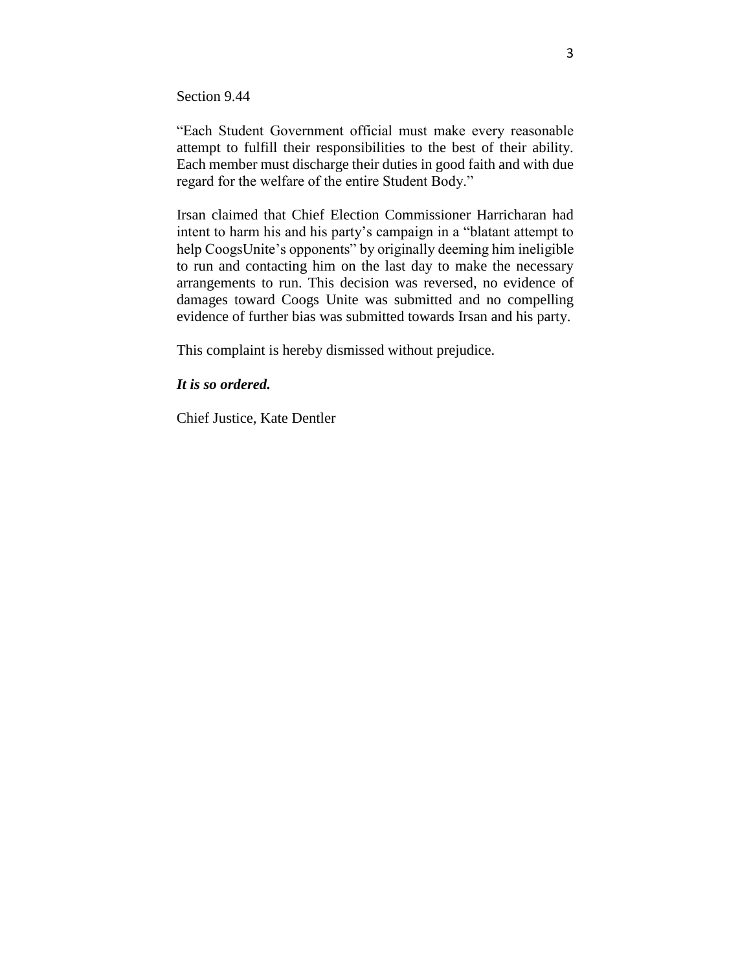Section 9.44

"Each Student Government official must make every reasonable attempt to fulfill their responsibilities to the best of their ability. Each member must discharge their duties in good faith and with due regard for the welfare of the entire Student Body."

Irsan claimed that Chief Election Commissioner Harricharan had intent to harm his and his party's campaign in a "blatant attempt to help CoogsUnite's opponents" by originally deeming him ineligible to run and contacting him on the last day to make the necessary arrangements to run. This decision was reversed, no evidence of damages toward Coogs Unite was submitted and no compelling evidence of further bias was submitted towards Irsan and his party.

This complaint is hereby dismissed without prejudice.

#### *It is so ordered.*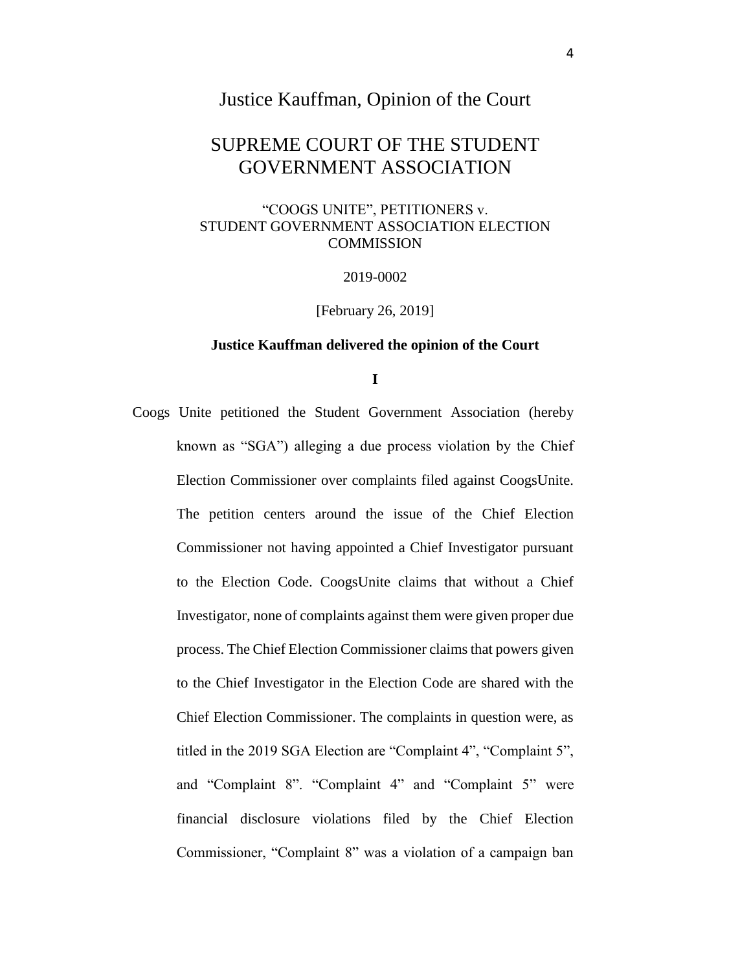# Justice Kauffman, Opinion of the Court

# SUPREME COURT OF THE STUDENT GOVERNMENT ASSOCIATION

# "COOGS UNITE", PETITIONERS v. STUDENT GOVERNMENT ASSOCIATION ELECTION **COMMISSION**

2019-0002

[February 26, 2019]

#### **Justice Kauffman delivered the opinion of the Court**

## **I**

Coogs Unite petitioned the Student Government Association (hereby known as "SGA") alleging a due process violation by the Chief Election Commissioner over complaints filed against CoogsUnite. The petition centers around the issue of the Chief Election Commissioner not having appointed a Chief Investigator pursuant to the Election Code. CoogsUnite claims that without a Chief Investigator, none of complaints against them were given proper due process. The Chief Election Commissioner claims that powers given to the Chief Investigator in the Election Code are shared with the Chief Election Commissioner. The complaints in question were, as titled in the 2019 SGA Election are "Complaint 4", "Complaint 5", and "Complaint 8". "Complaint 4" and "Complaint 5" were financial disclosure violations filed by the Chief Election Commissioner, "Complaint 8" was a violation of a campaign ban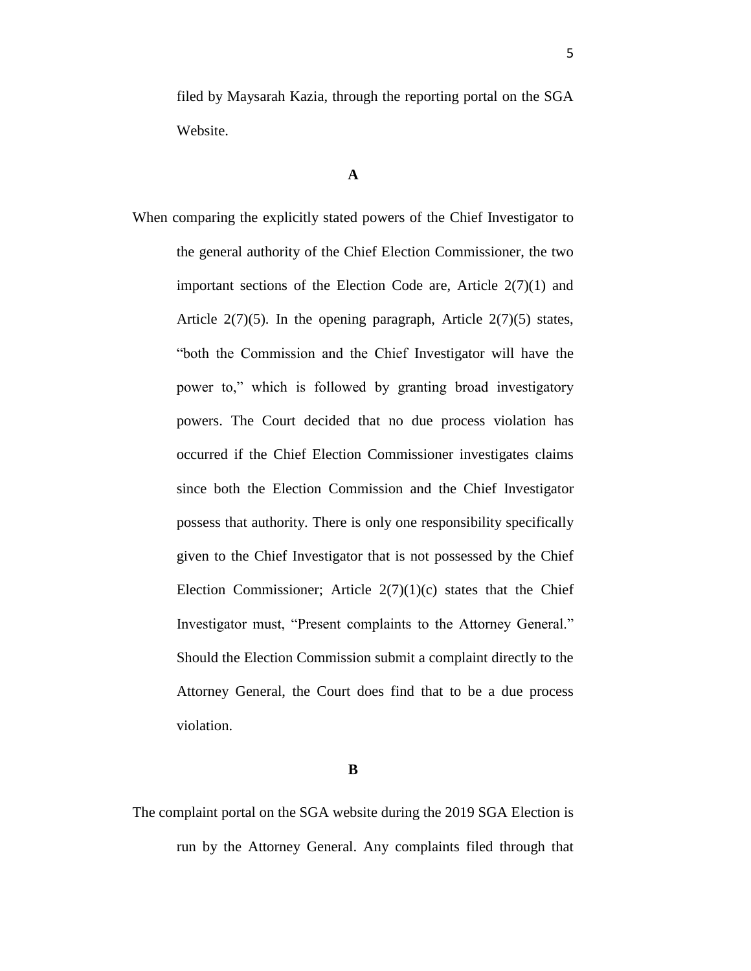filed by Maysarah Kazia, through the reporting portal on the SGA Website.

**A**

When comparing the explicitly stated powers of the Chief Investigator to the general authority of the Chief Election Commissioner, the two important sections of the Election Code are, Article  $2(7)(1)$  and Article  $2(7)(5)$ . In the opening paragraph, Article  $2(7)(5)$  states, "both the Commission and the Chief Investigator will have the power to," which is followed by granting broad investigatory powers. The Court decided that no due process violation has occurred if the Chief Election Commissioner investigates claims since both the Election Commission and the Chief Investigator possess that authority. There is only one responsibility specifically given to the Chief Investigator that is not possessed by the Chief Election Commissioner; Article  $2(7)(1)(c)$  states that the Chief Investigator must, "Present complaints to the Attorney General." Should the Election Commission submit a complaint directly to the Attorney General, the Court does find that to be a due process violation.

**B**

The complaint portal on the SGA website during the 2019 SGA Election is run by the Attorney General. Any complaints filed through that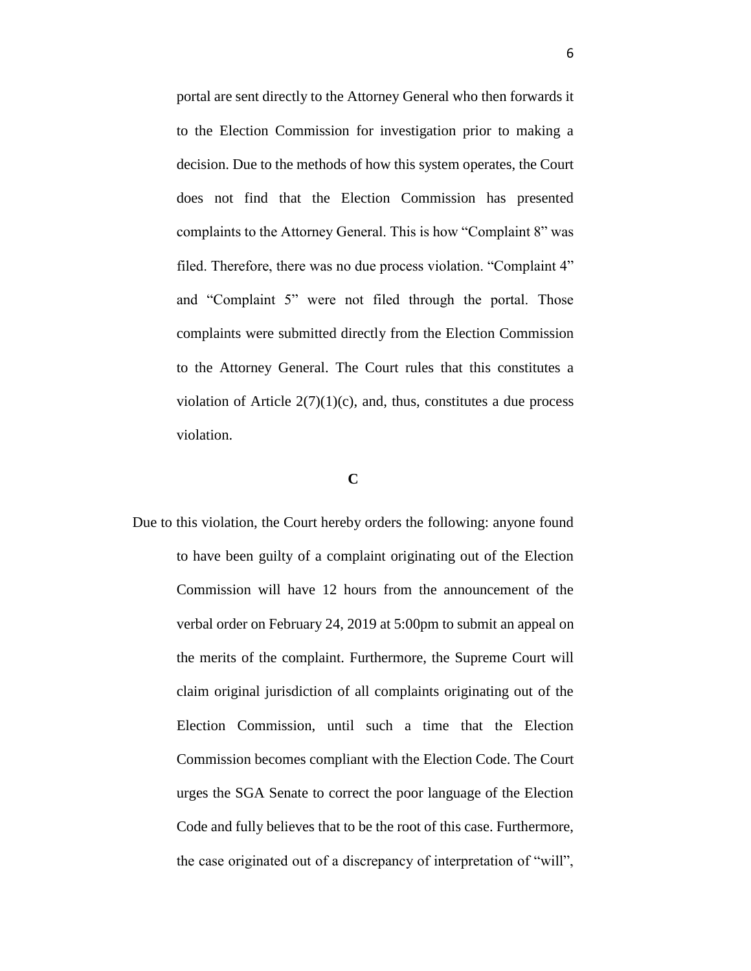portal are sent directly to the Attorney General who then forwards it to the Election Commission for investigation prior to making a decision. Due to the methods of how this system operates, the Court does not find that the Election Commission has presented complaints to the Attorney General. This is how "Complaint 8" was filed. Therefore, there was no due process violation. "Complaint 4" and "Complaint 5" were not filed through the portal. Those complaints were submitted directly from the Election Commission to the Attorney General. The Court rules that this constitutes a violation of Article  $2(7)(1)(c)$ , and, thus, constitutes a due process violation.

## **C**

Due to this violation, the Court hereby orders the following: anyone found to have been guilty of a complaint originating out of the Election Commission will have 12 hours from the announcement of the verbal order on February 24, 2019 at 5:00pm to submit an appeal on the merits of the complaint. Furthermore, the Supreme Court will claim original jurisdiction of all complaints originating out of the Election Commission, until such a time that the Election Commission becomes compliant with the Election Code. The Court urges the SGA Senate to correct the poor language of the Election Code and fully believes that to be the root of this case. Furthermore, the case originated out of a discrepancy of interpretation of "will",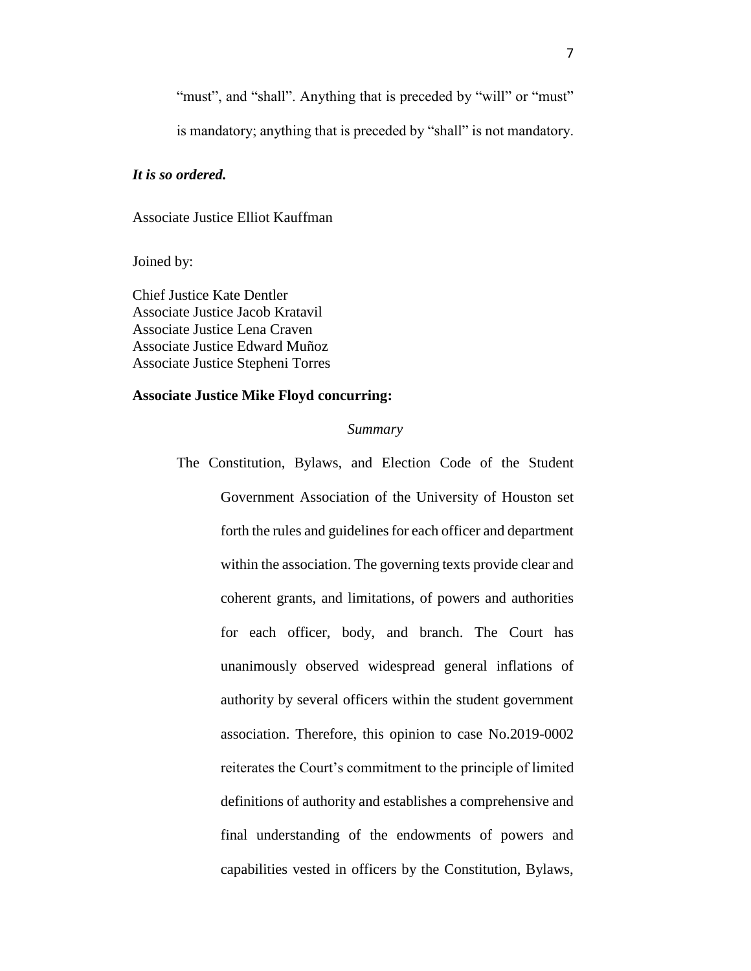"must", and "shall". Anything that is preceded by "will" or "must"

is mandatory; anything that is preceded by "shall" is not mandatory.

#### *It is so ordered.*

Associate Justice Elliot Kauffman

Joined by:

Chief Justice Kate Dentler Associate Justice Jacob Kratavil Associate Justice Lena Craven Associate Justice Edward Muñoz Associate Justice Stepheni Torres

#### **Associate Justice Mike Floyd concurring:**

#### *Summary*

The Constitution, Bylaws, and Election Code of the Student Government Association of the University of Houston set forth the rules and guidelines for each officer and department within the association. The governing texts provide clear and coherent grants, and limitations, of powers and authorities for each officer, body, and branch. The Court has unanimously observed widespread general inflations of authority by several officers within the student government association. Therefore, this opinion to case No.2019-0002 reiterates the Court's commitment to the principle of limited definitions of authority and establishes a comprehensive and final understanding of the endowments of powers and capabilities vested in officers by the Constitution, Bylaws,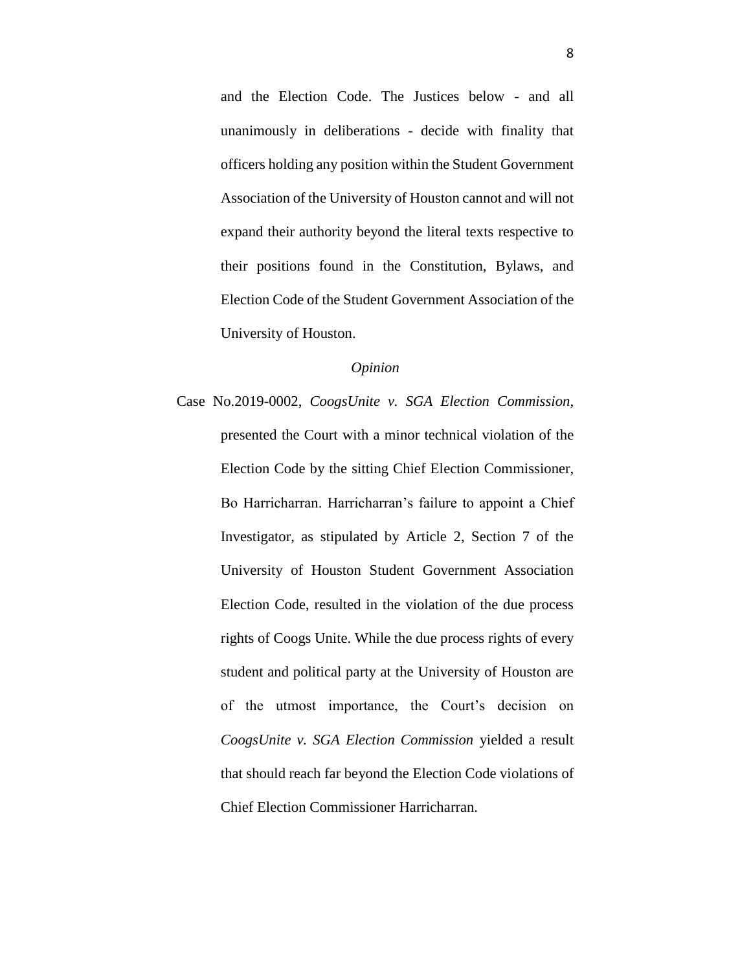and the Election Code. The Justices below - and all unanimously in deliberations - decide with finality that officers holding any position within the Student Government Association of the University of Houston cannot and will not expand their authority beyond the literal texts respective to their positions found in the Constitution, Bylaws, and Election Code of the Student Government Association of the University of Houston.

### *Opinion*

Case No.2019-0002, *CoogsUnite v. SGA Election Commission,*  presented the Court with a minor technical violation of the Election Code by the sitting Chief Election Commissioner, Bo Harricharran. Harricharran's failure to appoint a Chief Investigator, as stipulated by Article 2, Section 7 of the University of Houston Student Government Association Election Code, resulted in the violation of the due process rights of Coogs Unite. While the due process rights of every student and political party at the University of Houston are of the utmost importance, the Court's decision on *CoogsUnite v. SGA Election Commission* yielded a result that should reach far beyond the Election Code violations of Chief Election Commissioner Harricharran.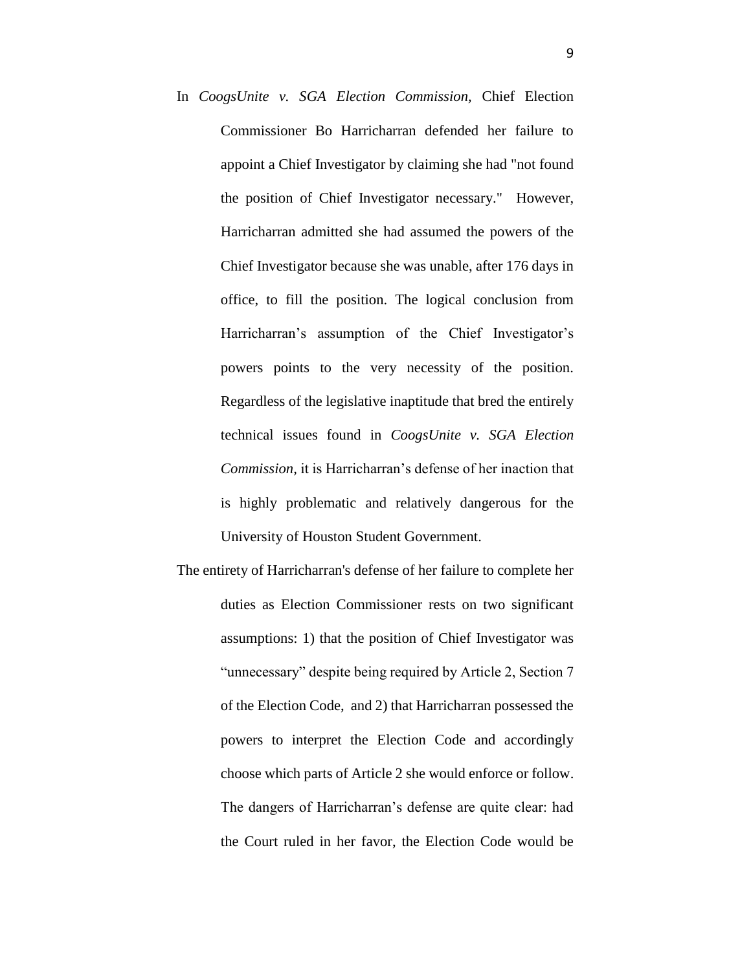- In *CoogsUnite v. SGA Election Commission,* Chief Election Commissioner Bo Harricharran defended her failure to appoint a Chief Investigator by claiming she had "not found the position of Chief Investigator necessary." However, Harricharran admitted she had assumed the powers of the Chief Investigator because she was unable, after 176 days in office, to fill the position. The logical conclusion from Harricharran's assumption of the Chief Investigator's powers points to the very necessity of the position. Regardless of the legislative inaptitude that bred the entirely technical issues found in *CoogsUnite v. SGA Election Commission,* it is Harricharran's defense of her inaction that is highly problematic and relatively dangerous for the University of Houston Student Government.
- The entirety of Harricharran's defense of her failure to complete her duties as Election Commissioner rests on two significant assumptions: 1) that the position of Chief Investigator was "unnecessary" despite being required by Article 2, Section 7 of the Election Code, and 2) that Harricharran possessed the powers to interpret the Election Code and accordingly choose which parts of Article 2 she would enforce or follow. The dangers of Harricharran's defense are quite clear: had the Court ruled in her favor, the Election Code would be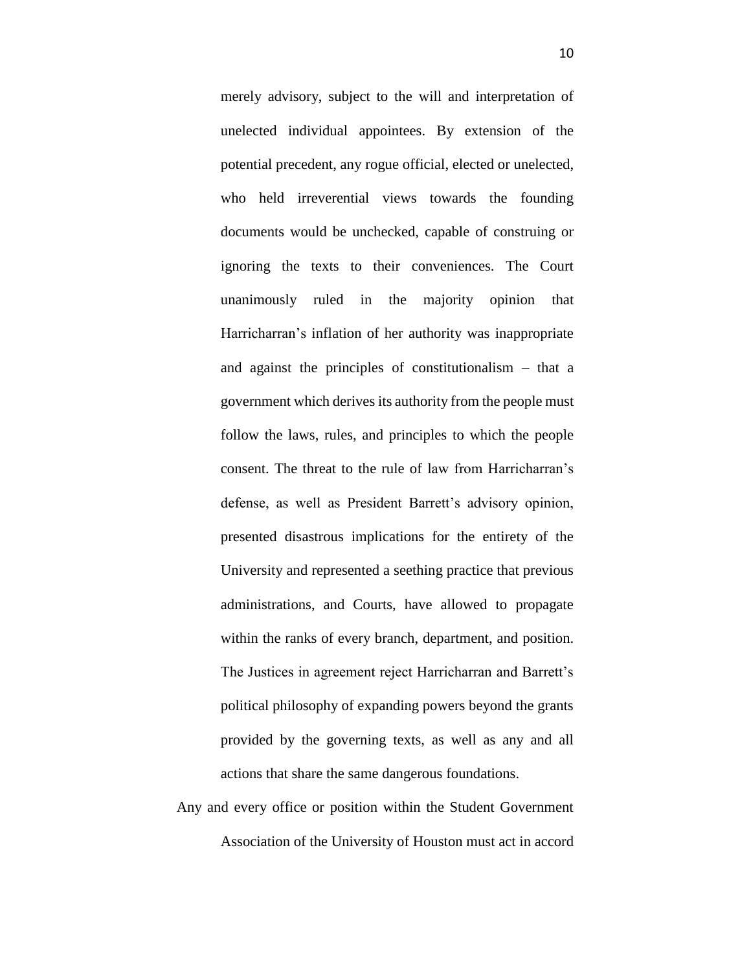merely advisory, subject to the will and interpretation of unelected individual appointees. By extension of the potential precedent, any rogue official, elected or unelected, who held irreverential views towards the founding documents would be unchecked, capable of construing or ignoring the texts to their conveniences. The Court unanimously ruled in the majority opinion that Harricharran's inflation of her authority was inappropriate and against the principles of constitutionalism – that a government which derives its authority from the people must follow the laws, rules, and principles to which the people consent. The threat to the rule of law from Harricharran's defense, as well as President Barrett's advisory opinion, presented disastrous implications for the entirety of the University and represented a seething practice that previous administrations, and Courts, have allowed to propagate within the ranks of every branch, department, and position. The Justices in agreement reject Harricharran and Barrett's political philosophy of expanding powers beyond the grants provided by the governing texts, as well as any and all actions that share the same dangerous foundations.

Any and every office or position within the Student Government Association of the University of Houston must act in accord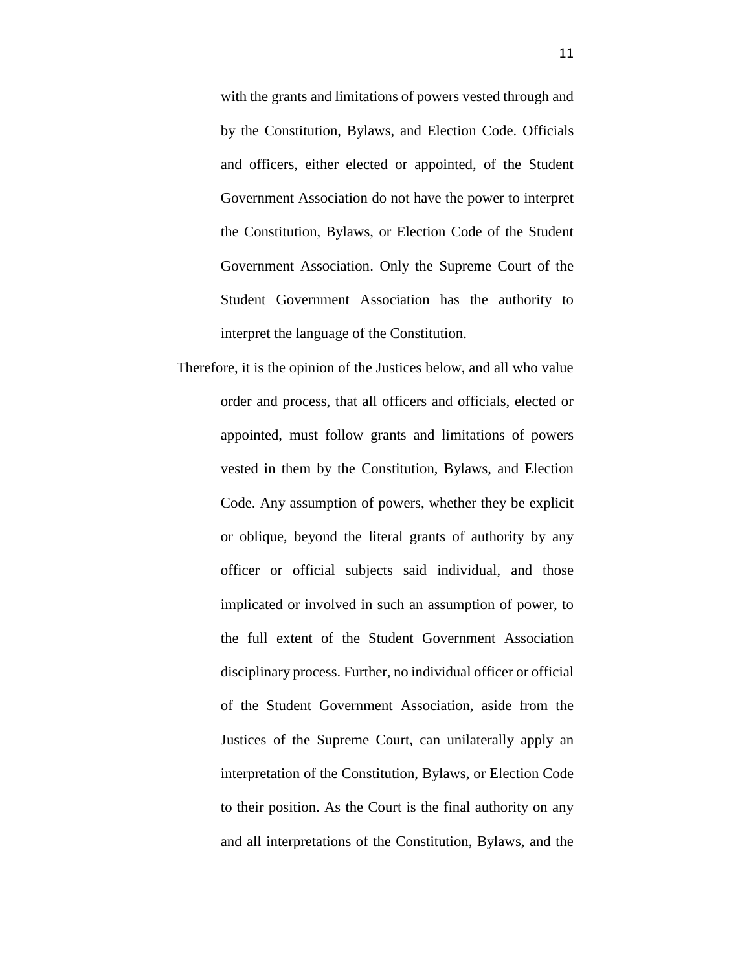with the grants and limitations of powers vested through and by the Constitution, Bylaws, and Election Code. Officials and officers, either elected or appointed, of the Student Government Association do not have the power to interpret the Constitution, Bylaws, or Election Code of the Student Government Association. Only the Supreme Court of the Student Government Association has the authority to interpret the language of the Constitution.

Therefore, it is the opinion of the Justices below, and all who value order and process, that all officers and officials, elected or appointed, must follow grants and limitations of powers vested in them by the Constitution, Bylaws, and Election Code. Any assumption of powers, whether they be explicit or oblique, beyond the literal grants of authority by any officer or official subjects said individual, and those implicated or involved in such an assumption of power, to the full extent of the Student Government Association disciplinary process. Further, no individual officer or official of the Student Government Association, aside from the Justices of the Supreme Court, can unilaterally apply an interpretation of the Constitution, Bylaws, or Election Code to their position. As the Court is the final authority on any and all interpretations of the Constitution, Bylaws, and the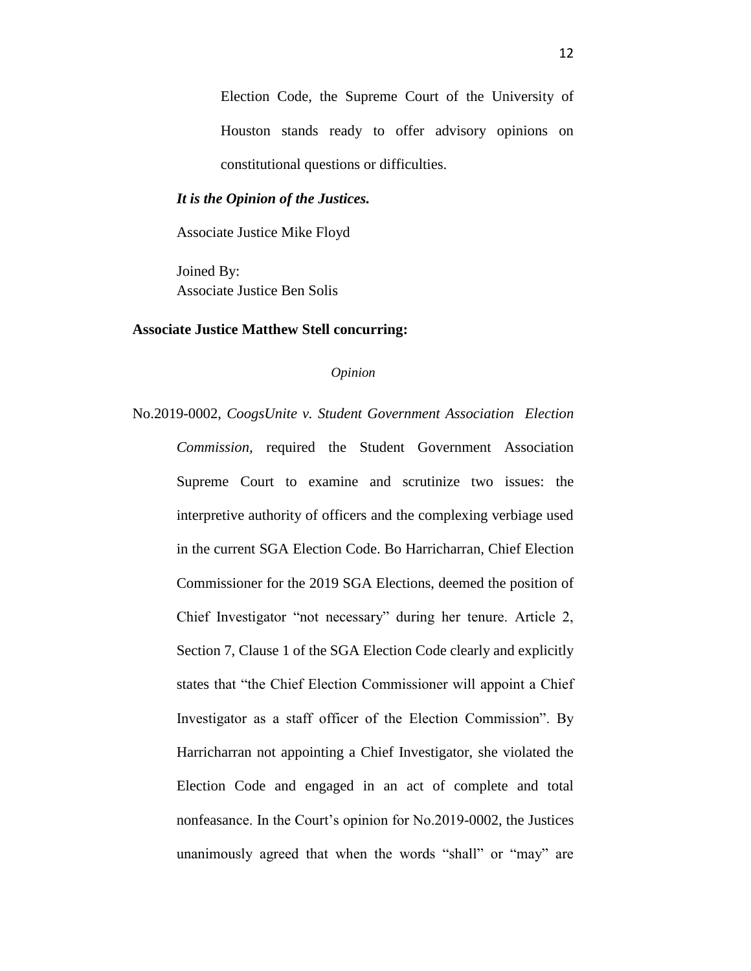Election Code, the Supreme Court of the University of Houston stands ready to offer advisory opinions on constitutional questions or difficulties.

## *It is the Opinion of the Justices.*

Associate Justice Mike Floyd

Joined By: Associate Justice Ben Solis

## **Associate Justice Matthew Stell concurring:**

*Opinion*

No.2019-0002, *CoogsUnite v. Student Government Association Election Commission,* required the Student Government Association Supreme Court to examine and scrutinize two issues: the interpretive authority of officers and the complexing verbiage used in the current SGA Election Code. Bo Harricharran, Chief Election Commissioner for the 2019 SGA Elections, deemed the position of Chief Investigator "not necessary" during her tenure. Article 2, Section 7, Clause 1 of the SGA Election Code clearly and explicitly states that "the Chief Election Commissioner will appoint a Chief Investigator as a staff officer of the Election Commission". By Harricharran not appointing a Chief Investigator, she violated the Election Code and engaged in an act of complete and total nonfeasance. In the Court's opinion for No.2019-0002, the Justices unanimously agreed that when the words "shall" or "may" are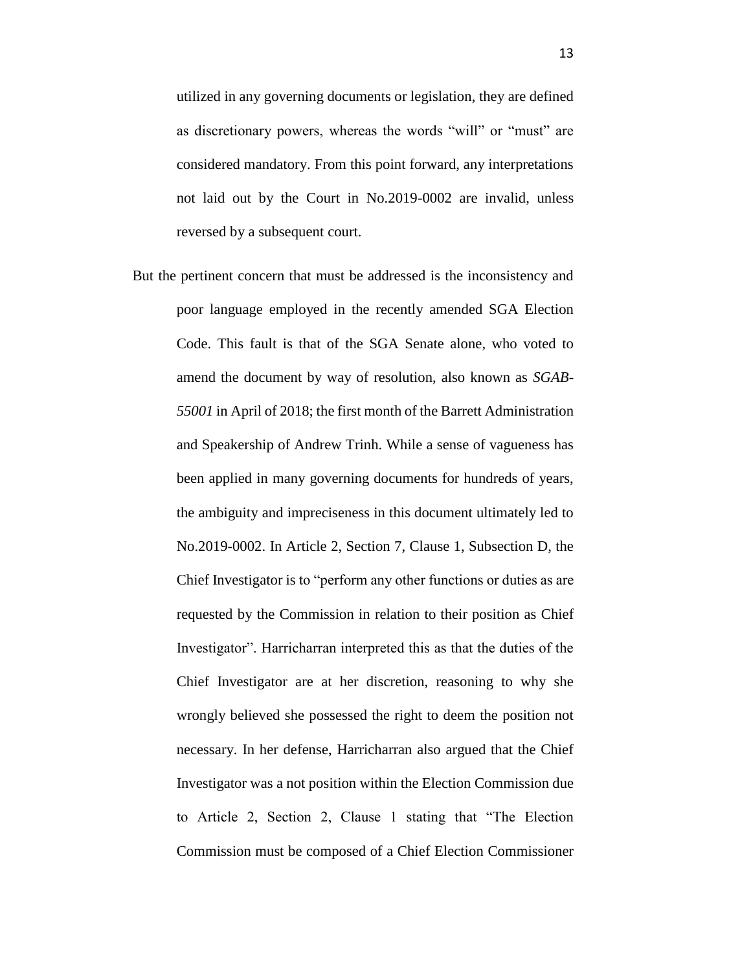utilized in any governing documents or legislation, they are defined as discretionary powers, whereas the words "will" or "must" are considered mandatory. From this point forward, any interpretations not laid out by the Court in No.2019-0002 are invalid, unless reversed by a subsequent court.

But the pertinent concern that must be addressed is the inconsistency and poor language employed in the recently amended SGA Election Code. This fault is that of the SGA Senate alone, who voted to amend the document by way of resolution, also known as *SGAB-55001* in April of 2018; the first month of the Barrett Administration and Speakership of Andrew Trinh. While a sense of vagueness has been applied in many governing documents for hundreds of years, the ambiguity and impreciseness in this document ultimately led to No.2019-0002. In Article 2, Section 7, Clause 1, Subsection D, the Chief Investigator is to "perform any other functions or duties as are requested by the Commission in relation to their position as Chief Investigator". Harricharran interpreted this as that the duties of the Chief Investigator are at her discretion, reasoning to why she wrongly believed she possessed the right to deem the position not necessary. In her defense, Harricharran also argued that the Chief Investigator was a not position within the Election Commission due to Article 2, Section 2, Clause 1 stating that "The Election Commission must be composed of a Chief Election Commissioner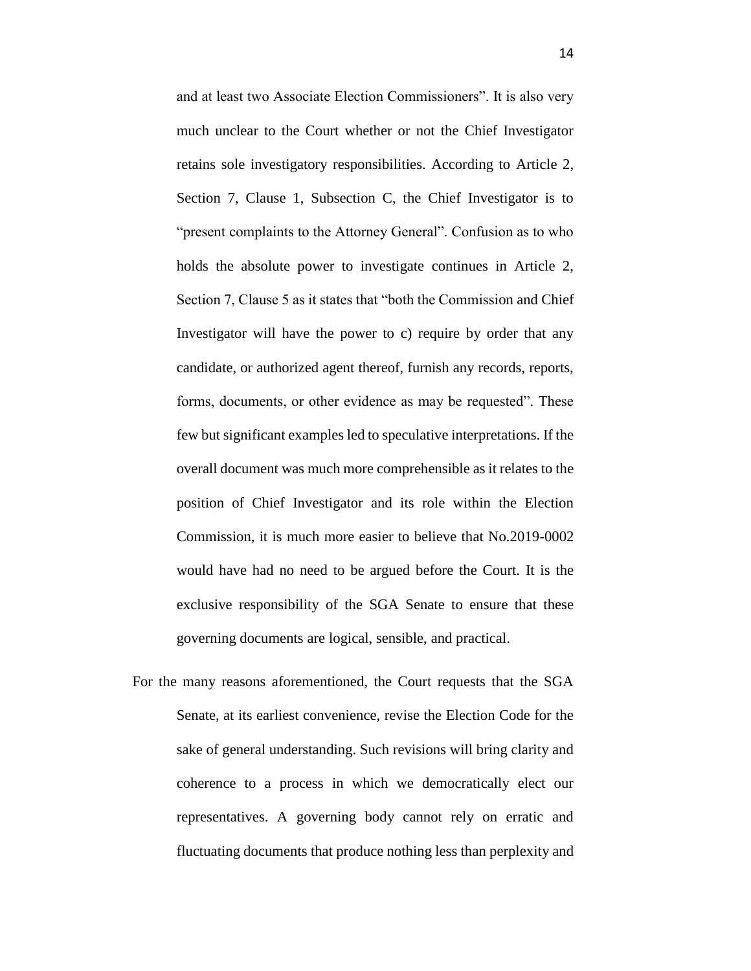and at least two Associate Election Commissioners". It is also very much unclear to the Court whether or not the Chief Investigator retains sole investigatory responsibilities. According to Article 2, Section 7, Clause 1, Subsection C, the Chief Investigator is to "present complaints to the Attorney General". Confusion as to who holds the absolute power to investigate continues in Article 2, Section 7, Clause 5 as it states that "both the Commission and Chief Investigator will have the power to c) require by order that any candidate, or authorized agent thereof, furnish any records, reports, forms, documents, or other evidence as may be requested". These few but significant examples led to speculative interpretations. If the overall document was much more comprehensible as it relates to the position of Chief Investigator and its role within the Election Commission, it is much more easier to believe that No.2019-0002 would have had no need to be argued before the Court. It is the exclusive responsibility of the SGA Senate to ensure that these governing documents are logical, sensible, and practical.

For the many reasons aforementioned, the Court requests that the SGA Senate, at its earliest convenience, revise the Election Code for the sake of general understanding. Such revisions will bring clarity and coherence to a process in which we democratically elect our representatives. A governing body cannot rely on erratic and fluctuating documents that produce nothing less than perplexity and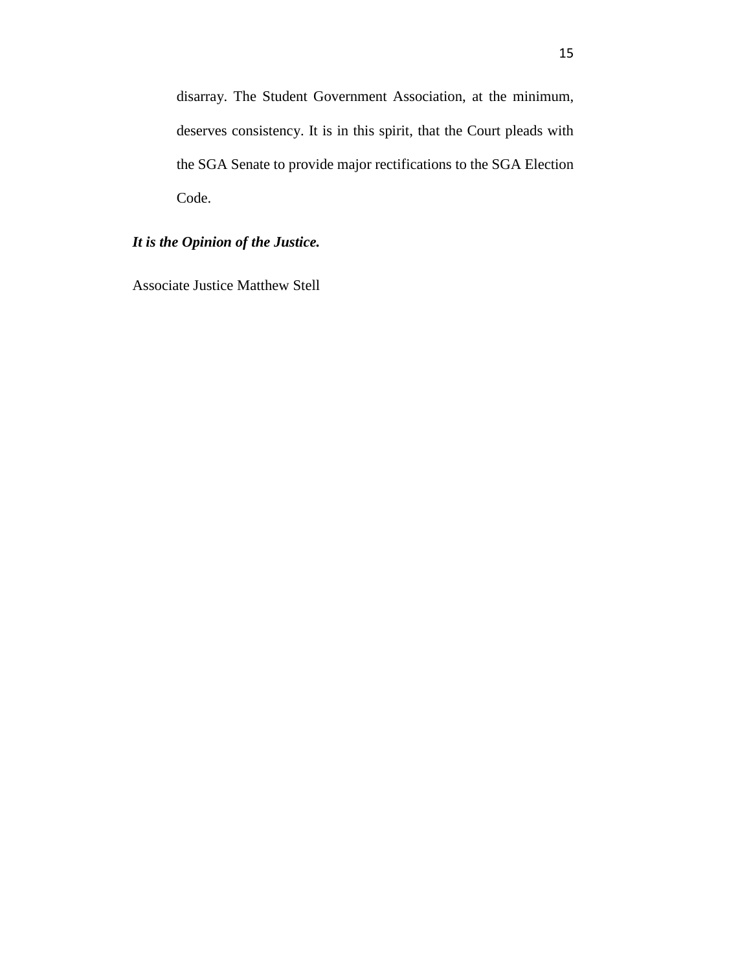disarray. The Student Government Association, at the minimum, deserves consistency. It is in this spirit, that the Court pleads with the SGA Senate to provide major rectifications to the SGA Election Code.

# *It is the Opinion of the Justice.*

Associate Justice Matthew Stell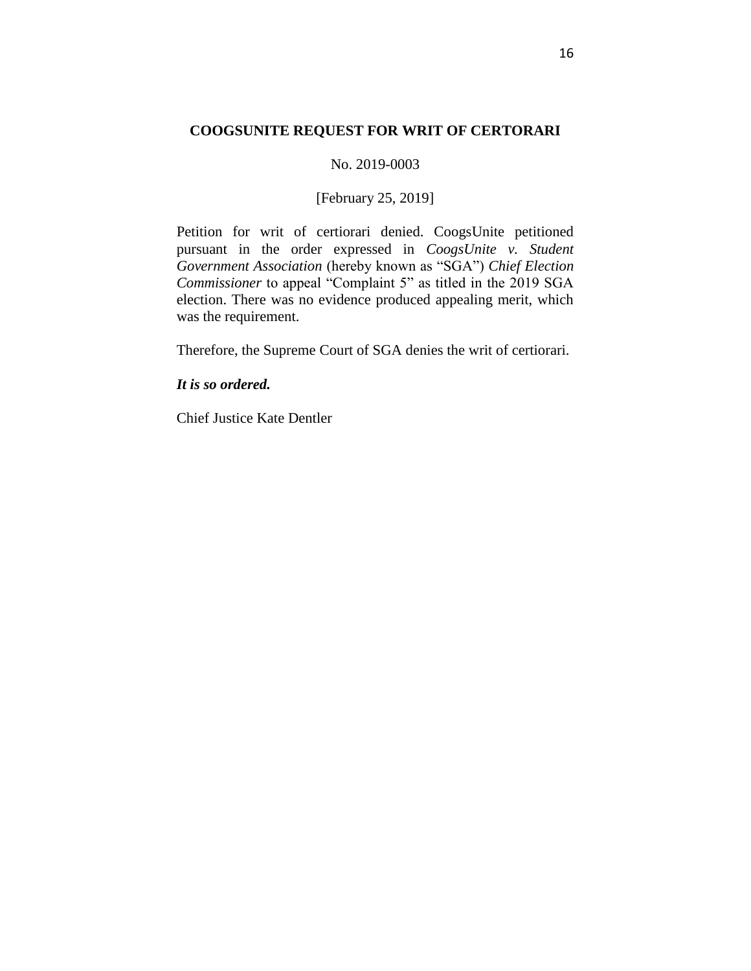# **COOGSUNITE REQUEST FOR WRIT OF CERTORARI**

## No. 2019-0003

# [February 25, 2019]

Petition for writ of certiorari denied. CoogsUnite petitioned pursuant in the order expressed in *CoogsUnite v. Student Government Association* (hereby known as "SGA") *Chief Election Commissioner* to appeal "Complaint 5" as titled in the 2019 SGA election. There was no evidence produced appealing merit, which was the requirement.

Therefore, the Supreme Court of SGA denies the writ of certiorari.

# *It is so ordered.*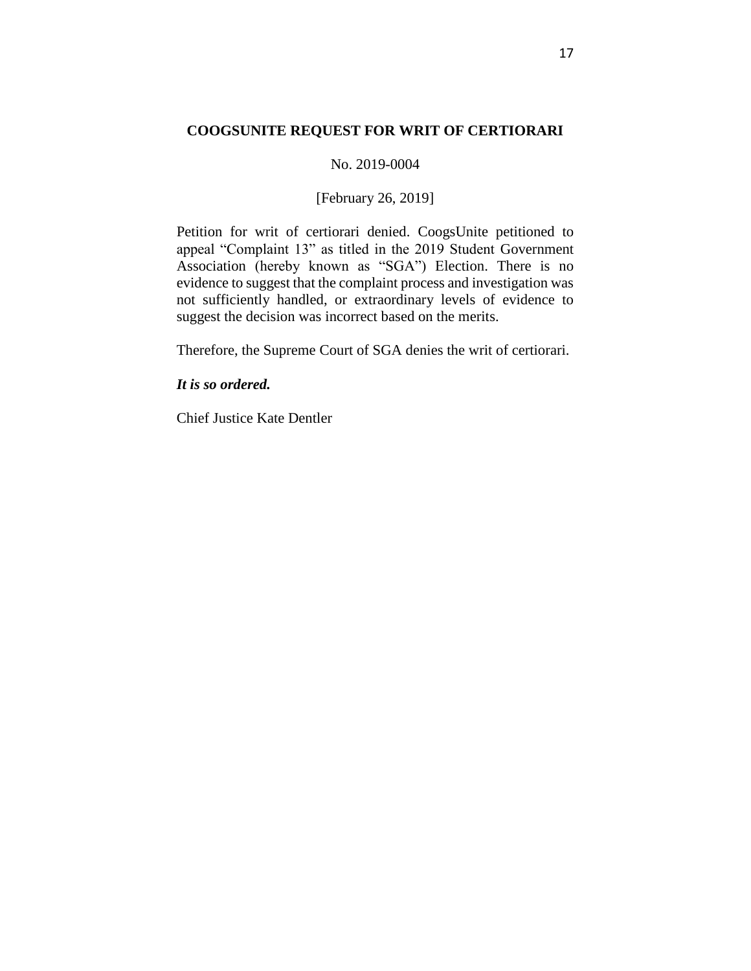# **COOGSUNITE REQUEST FOR WRIT OF CERTIORARI**

## No. 2019-0004

# [February 26, 2019]

Petition for writ of certiorari denied. CoogsUnite petitioned to appeal "Complaint 13" as titled in the 2019 Student Government Association (hereby known as "SGA") Election. There is no evidence to suggest that the complaint process and investigation was not sufficiently handled, or extraordinary levels of evidence to suggest the decision was incorrect based on the merits.

Therefore, the Supreme Court of SGA denies the writ of certiorari.

## *It is so ordered.*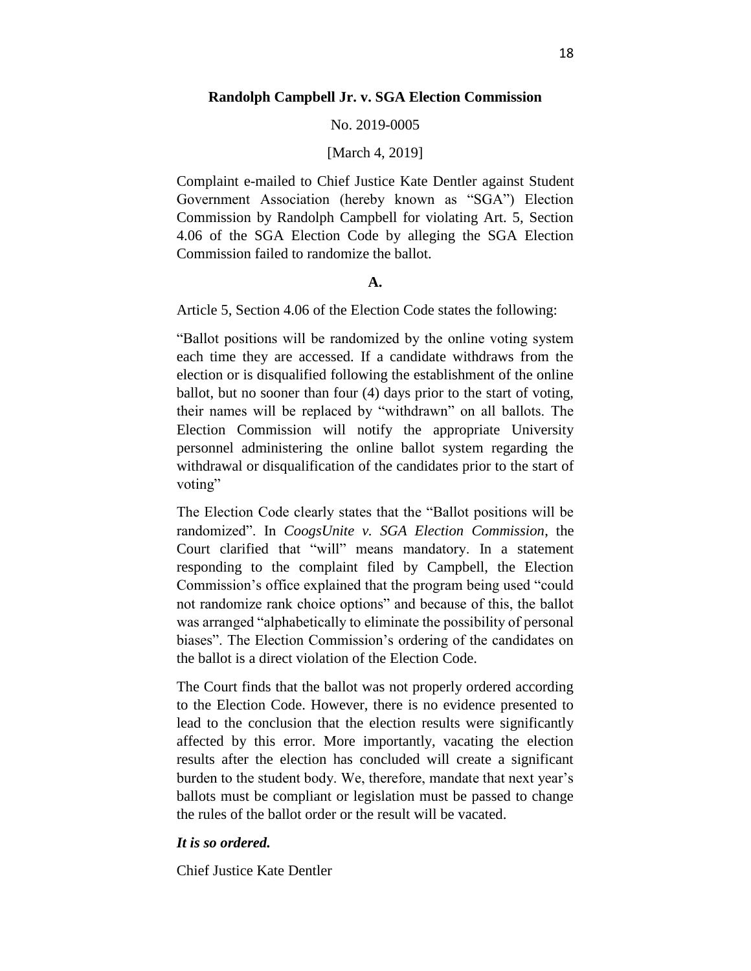#### No. 2019-0005

#### [March 4, 2019]

Complaint e-mailed to Chief Justice Kate Dentler against Student Government Association (hereby known as "SGA") Election Commission by Randolph Campbell for violating Art. 5, Section 4.06 of the SGA Election Code by alleging the SGA Election Commission failed to randomize the ballot.

#### **A.**

Article 5, Section 4.06 of the Election Code states the following:

"Ballot positions will be randomized by the online voting system each time they are accessed. If a candidate withdraws from the election or is disqualified following the establishment of the online ballot, but no sooner than four (4) days prior to the start of voting, their names will be replaced by "withdrawn" on all ballots. The Election Commission will notify the appropriate University personnel administering the online ballot system regarding the withdrawal or disqualification of the candidates prior to the start of voting"

The Election Code clearly states that the "Ballot positions will be randomized". In *CoogsUnite v. SGA Election Commission*, the Court clarified that "will" means mandatory. In a statement responding to the complaint filed by Campbell, the Election Commission's office explained that the program being used "could not randomize rank choice options" and because of this, the ballot was arranged "alphabetically to eliminate the possibility of personal biases". The Election Commission's ordering of the candidates on the ballot is a direct violation of the Election Code.

The Court finds that the ballot was not properly ordered according to the Election Code. However, there is no evidence presented to lead to the conclusion that the election results were significantly affected by this error. More importantly, vacating the election results after the election has concluded will create a significant burden to the student body. We, therefore, mandate that next year's ballots must be compliant or legislation must be passed to change the rules of the ballot order or the result will be vacated.

## *It is so ordered.*